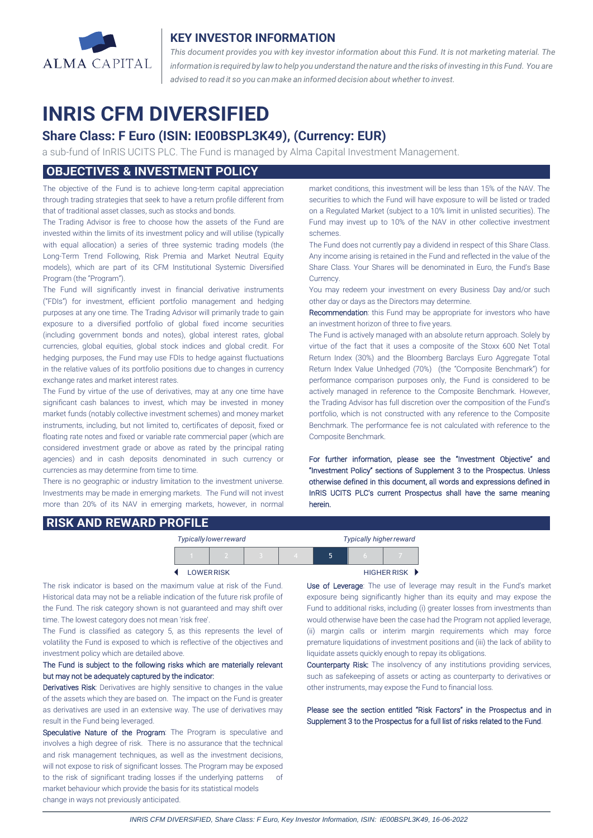

#### **KEY INVESTOR INFORMATION**

*This document provides you with key investor information about this Fund. It is not marketing material. The* information is required by law to help you understand the nature and the risks of investing in this Fund. You are *advised to read it so you can make an informed decision about whether to invest.*

# **INRIS CFM DIVERSIFIED**

## **Share Class: F Euro (ISIN: IE00BSPL3K49), (Currency: EUR)**

a sub-fund of InRIS UCITS PLC. The Fund is managed by Alma Capital Investment Management.

## **OBJECTIVES & INVESTMENT POLICY**

The objective of the Fund is to achieve long-term capital appreciation through trading strategies that seek to have a return profile different from that of traditional asset classes, such as stocks and bonds.

The Trading Advisor is free to choose how the assets of the Fund are invested within the limits of its investment policy and will utilise (typically with equal allocation) a series of three systemic trading models (the Long-Term Trend Following, Risk Premia and Market Neutral Equity models), which are part of its CFM Institutional Systemic Diversified Program (the "Program").

The Fund will significantly invest in financial derivative instruments ("FDIs") for investment, efficient portfolio management and hedging purposes at any one time. The Trading Advisor will primarily trade to gain exposure to a diversified portfolio of global fixed income securities (including government bonds and notes), global interest rates, global currencies, global equities, global stock indices and global credit. For hedging purposes, the Fund may use FDIs to hedge against fluctuations in the relative values of its portfolio positions due to changes in currency exchange rates and market interest rates.

The Fund by virtue of the use of derivatives, may at any one time have significant cash balances to invest, which may be invested in money market funds (notably collective investment schemes) and money market instruments, including, but not limited to, certificates of deposit, fixed or floating rate notes and fixed or variable rate commercial paper (which are considered investment grade or above as rated by the principal rating agencies) and in cash deposits denominated in such currency or currencies as may determine from time to time.

There is no geographic or industry limitation to the investment universe. Investments may be made in emerging markets. The Fund will not invest more than 20% of its NAV in emerging markets, however, in normal market conditions, this investment will be less than 15% of the NAV. The securities to which the Fund will have exposure to will be listed or traded on a Regulated Market (subject to a 10% limit in unlisted securities). The Fund may invest up to 10% of the NAV in other collective investment schemes.

The Fund does not currently pay a dividend in respect of this Share Class. Any income arising is retained in the Fund and reflected in the value of the Share Class. Your Shares will be denominated in Euro, the Fund's Base Currency.

You may redeem your investment on every Business Day and/or such other day or days as the Directors may determine.

Recommendation: this Fund may be appropriate for investors who have an investment horizon of three to five years.

The Fund is actively managed with an absolute return approach. Solely by virtue of the fact that it uses a composite of the Stoxx 600 Net Total Return Index (30%) and the Bloomberg Barclays Euro Aggregate Total Return Index Value Unhedged (70%) (the "Composite Benchmark") for performance comparison purposes only, the Fund is considered to be actively managed in reference to the Composite Benchmark. However, the Trading Advisor has full discretion over the composition of the Fund's portfolio, which is not constructed with any reference to the Composite Benchmark. The performance fee is not calculated with reference to the Composite Benchmark.

For further information, please see the "Investment Objective" and "Investment Policy" sections of Supplement 3 to the Prospectus. Unless otherwise defined in this document, all words and expressions defined in InRIS UCITS PLC's current Prospectus shall have the same meaning herein.

#### **RISK AND REWARD PROFILE**

| Typically lower reward |  |  |  |                      | <b>Typically higher reward</b> |  |  |
|------------------------|--|--|--|----------------------|--------------------------------|--|--|
|                        |  |  |  |                      | 5                              |  |  |
| <b>LOWER RISK</b>      |  |  |  | <b>HIGHER RISK ▶</b> |                                |  |  |

The risk indicator is based on the maximum value at risk of the Fund. Historical data may not be a reliable indication of the future risk profile of the Fund. The risk category shown is not guaranteed and may shift over time. The lowest category does not mean 'risk free'.

The Fund is classified as category 5, as this represents the level of volatility the Fund is exposed to which is reflective of the objectives and investment policy which are detailed above.

#### The Fund is subject to the following risks which are materially relevant but may not be adequately captured by the indicator:

Derivatives Risk: Derivatives are highly sensitive to changes in the value of the assets which they are based on. The impact on the Fund is greater as derivatives are used in an extensive way. The use of derivatives may result in the Fund being leveraged.

Speculative Nature of the Program: The Program is speculative and involves a high degree of risk. There is no assurance that the technical and risk management techniques, as well as the investment decisions, will not expose to risk of significant losses. The Program may be exposed to the risk of significant trading losses if the underlying patterns of market behaviour which provide the basis for its statistical models change in ways not previously anticipated.

 $\overline{a}$ 

Use of Leverage: The use of leverage may result in the Fund's market exposure being significantly higher than its equity and may expose the Fund to additional risks, including (i) greater losses from investments than would otherwise have been the case had the Program not applied leverage, (ii) margin calls or interim margin requirements which may force premature liquidations of investment positions and (iii) the lack of ability to liquidate assets quickly enough to repay its obligations.

Counterparty Risk: The insolvency of any institutions providing services, such as safekeeping of assets or acting as counterparty to derivatives or other instruments, may expose the Fund to financial loss.

Please see the section entitled "Risk Factors" in the Prospectus and in Supplement 3 to the Prospectus for a full list of risks related to the Fund.